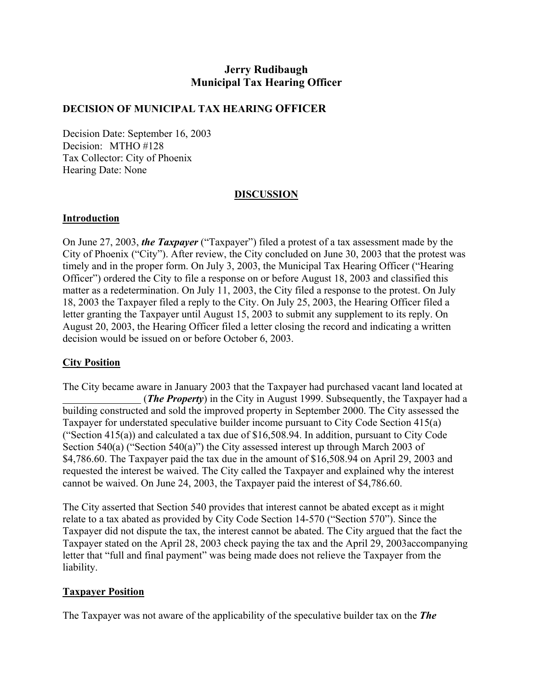# **Jerry Rudibaugh Municipal Tax Hearing Officer**

## **DECISION OF MUNICIPAL TAX HEARING OFFICER**

Decision Date: September 16, 2003 Decision: MTHO #128 Tax Collector: City of Phoenix Hearing Date: None

### **DISCUSSION**

#### **Introduction**

On June 27, 2003, *the Taxpayer* ("Taxpayer") filed a protest of a tax assessment made by the City of Phoenix ("City"). After review, the City concluded on June 30, 2003 that the protest was timely and in the proper form. On July 3, 2003, the Municipal Tax Hearing Officer ("Hearing Officer") ordered the City to file a response on or before August 18, 2003 and classified this matter as a redetermination. On July 11, 2003, the City filed a response to the protest. On July 18, 2003 the Taxpayer filed a reply to the City. On July 25, 2003, the Hearing Officer filed a letter granting the Taxpayer until August 15, 2003 to submit any supplement to its reply. On August 20, 2003, the Hearing Officer filed a letter closing the record and indicating a written decision would be issued on or before October 6, 2003.

## **City Position**

The City became aware in January 2003 that the Taxpayer had purchased vacant land located at (*The Property*) in the City in August 1999. Subsequently, the Taxpayer had a building constructed and sold the improved property in September 2000. The City assessed the Taxpayer for understated speculative builder income pursuant to City Code Section 415(a) ("Section 415(a)) and calculated a tax due of \$16,508.94. In addition, pursuant to City Code Section 540(a) ("Section 540(a)") the City assessed interest up through March 2003 of \$4,786.60. The Taxpayer paid the tax due in the amount of \$16,508.94 on April 29, 2003 and requested the interest be waived. The City called the Taxpayer and explained why the interest cannot be waived. On June 24, 2003, the Taxpayer paid the interest of \$4,786.60.

The City asserted that Section 540 provides that interest cannot be abated except as it might relate to a tax abated as provided by City Code Section 14-570 ("Section 570"). Since the Taxpayer did not dispute the tax, the interest cannot be abated. The City argued that the fact the Taxpayer stated on the April 28, 2003 check paying the tax and the April 29, 2003accompanying letter that "full and final payment" was being made does not relieve the Taxpayer from the liability.

#### **Taxpayer Position**

The Taxpayer was not aware of the applicability of the speculative builder tax on the *The*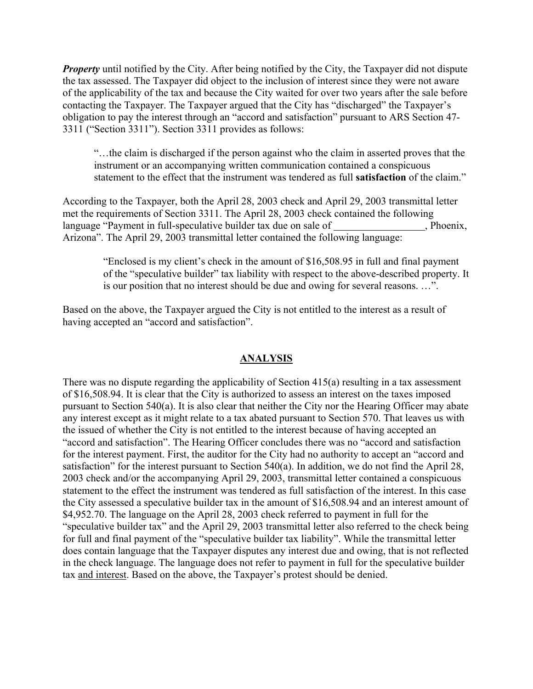*Property* until notified by the City. After being notified by the City, the Taxpayer did not dispute the tax assessed. The Taxpayer did object to the inclusion of interest since they were not aware of the applicability of the tax and because the City waited for over two years after the sale before contacting the Taxpayer. The Taxpayer argued that the City has "discharged" the Taxpayer's obligation to pay the interest through an "accord and satisfaction" pursuant to ARS Section 47- 3311 ("Section 3311"). Section 3311 provides as follows:

"…the claim is discharged if the person against who the claim in asserted proves that the instrument or an accompanying written communication contained a conspicuous statement to the effect that the instrument was tendered as full **satisfaction** of the claim."

According to the Taxpayer, both the April 28, 2003 check and April 29, 2003 transmittal letter met the requirements of Section 3311. The April 28, 2003 check contained the following language "Payment in full-speculative builder tax due on sale of , Phoenix, Arizona". The April 29, 2003 transmittal letter contained the following language:

"Enclosed is my client's check in the amount of \$16,508.95 in full and final payment of the "speculative builder" tax liability with respect to the above-described property. It is our position that no interest should be due and owing for several reasons. …".

Based on the above, the Taxpayer argued the City is not entitled to the interest as a result of having accepted an "accord and satisfaction".

### **ANALYSIS**

There was no dispute regarding the applicability of Section 415(a) resulting in a tax assessment of \$16,508.94. It is clear that the City is authorized to assess an interest on the taxes imposed pursuant to Section 540(a). It is also clear that neither the City nor the Hearing Officer may abate any interest except as it might relate to a tax abated pursuant to Section 570. That leaves us with the issued of whether the City is not entitled to the interest because of having accepted an "accord and satisfaction". The Hearing Officer concludes there was no "accord and satisfaction for the interest payment. First, the auditor for the City had no authority to accept an "accord and satisfaction" for the interest pursuant to Section 540(a). In addition, we do not find the April 28, 2003 check and/or the accompanying April 29, 2003, transmittal letter contained a conspicuous statement to the effect the instrument was tendered as full satisfaction of the interest. In this case the City assessed a speculative builder tax in the amount of \$16,508.94 and an interest amount of \$4,952.70. The language on the April 28, 2003 check referred to payment in full for the "speculative builder tax" and the April 29, 2003 transmittal letter also referred to the check being for full and final payment of the "speculative builder tax liability". While the transmittal letter does contain language that the Taxpayer disputes any interest due and owing, that is not reflected in the check language. The language does not refer to payment in full for the speculative builder tax and interest. Based on the above, the Taxpayer's protest should be denied.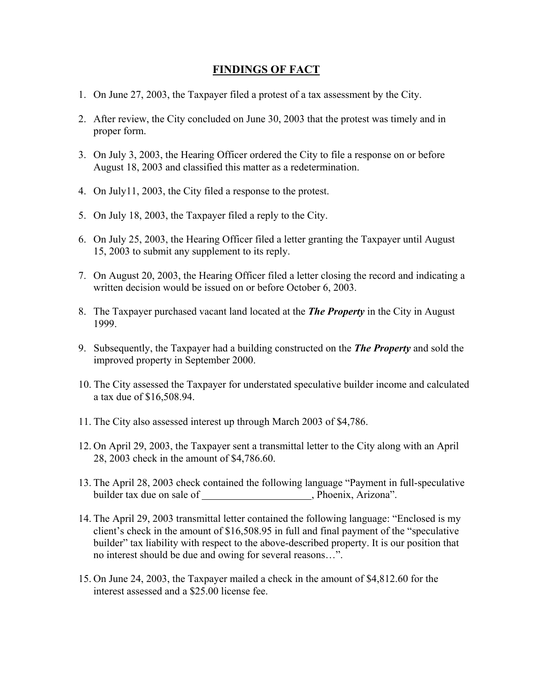## **FINDINGS OF FACT**

- 1. On June 27, 2003, the Taxpayer filed a protest of a tax assessment by the City.
- 2. After review, the City concluded on June 30, 2003 that the protest was timely and in proper form.
- 3. On July 3, 2003, the Hearing Officer ordered the City to file a response on or before August 18, 2003 and classified this matter as a redetermination.
- 4. On July11, 2003, the City filed a response to the protest.
- 5. On July 18, 2003, the Taxpayer filed a reply to the City.
- 6. On July 25, 2003, the Hearing Officer filed a letter granting the Taxpayer until August 15, 2003 to submit any supplement to its reply.
- 7. On August 20, 2003, the Hearing Officer filed a letter closing the record and indicating a written decision would be issued on or before October 6, 2003.
- 8. The Taxpayer purchased vacant land located at the *The Property* in the City in August 1999.
- 9. Subsequently, the Taxpayer had a building constructed on the *The Property* and sold the improved property in September 2000.
- 10. The City assessed the Taxpayer for understated speculative builder income and calculated a tax due of \$16,508.94.
- 11. The City also assessed interest up through March 2003 of \$4,786.
- 12. On April 29, 2003, the Taxpayer sent a transmittal letter to the City along with an April 28, 2003 check in the amount of \$4,786.60.
- 13. The April 28, 2003 check contained the following language "Payment in full-speculative builder tax due on sale of , Phoenix, Arizona".
- 14. The April 29, 2003 transmittal letter contained the following language: "Enclosed is my client's check in the amount of \$16,508.95 in full and final payment of the "speculative builder" tax liability with respect to the above-described property. It is our position that no interest should be due and owing for several reasons…".
- 15. On June 24, 2003, the Taxpayer mailed a check in the amount of \$4,812.60 for the interest assessed and a \$25.00 license fee.